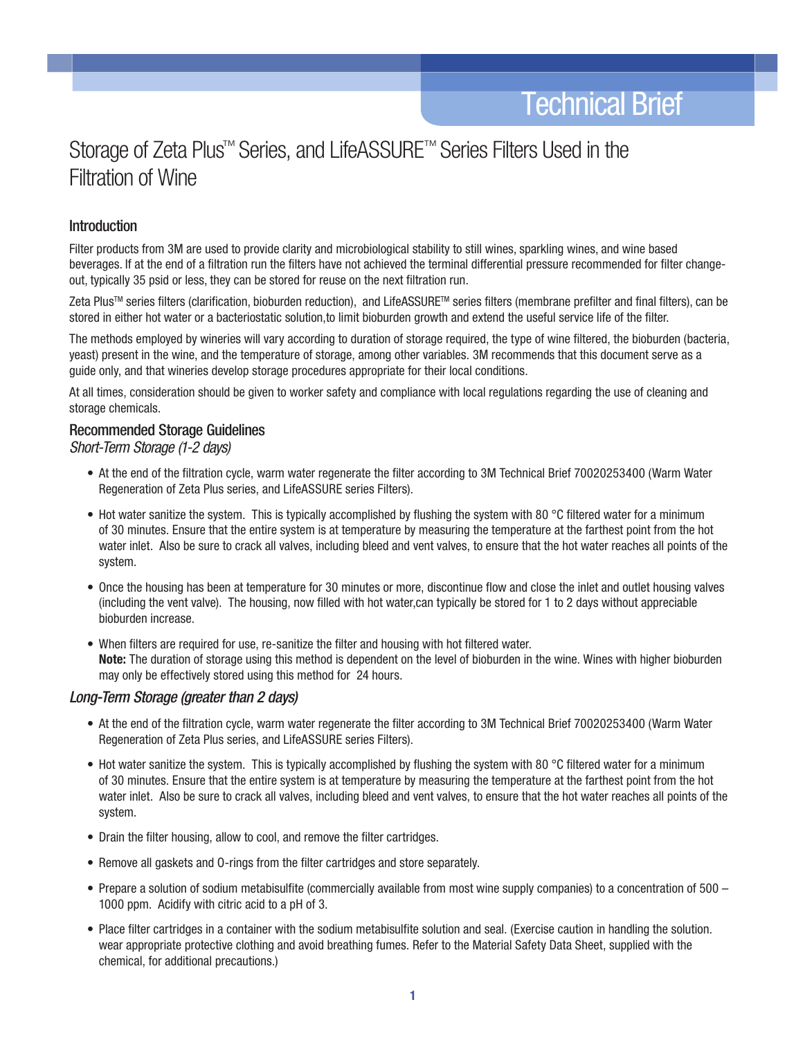# Storage of Zeta Plus™ Series, and LifeASSURE™ Series Filters Used in the Filtration of Wine

## **Introduction**

Filter products from 3M are used to provide clarity and microbiological stability to still wines, sparkling wines, and wine based beverages. If at the end of a filtration run the filters have not achieved the terminal differential pressure recommended for filter changeout, typically 35 psid or less, they can be stored for reuse on the next filtration run.

Zeta PlusTM series filters (clarification, bioburden reduction), and LifeASSURETM series filters (membrane prefilter and final filters), can be stored in either hot water or a bacteriostatic solution,to limit bioburden growth and extend the useful service life of the filter.

The methods employed by wineries will vary according to duration of storage required, the type of wine filtered, the bioburden (bacteria, yeast) present in the wine, and the temperature of storage, among other variables. 3M recommends that this document serve as a guide only, and that wineries develop storage procedures appropriate for their local conditions.

At all times, consideration should be given to worker safety and compliance with local regulations regarding the use of cleaning and storage chemicals.

## Recommended Storage Guidelines

*Short-Term Storage (1-2 days)*

- At the end of the filtration cycle, warm water regenerate the filter according to 3M Technical Brief 70020253400 (Warm Water Regeneration of Zeta Plus series, and LifeASSURE series Filters).
- Hot water sanitize the system. This is typically accomplished by flushing the system with 80  $\degree$ C filtered water for a minimum of 30 minutes. Ensure that the entire system is at temperature by measuring the temperature at the farthest point from the hot water inlet. Also be sure to crack all valves, including bleed and vent valves, to ensure that the hot water reaches all points of the system.
- Once the housing has been at temperature for 30 minutes or more, discontinue flow and close the inlet and outlet housing valves (including the vent valve). The housing, now filled with hot water,can typically be stored for 1 to 2 days without appreciable bioburden increase.
- When filters are required for use, re-sanitize the filter and housing with hot filtered water. Note: The duration of storage using this method is dependent on the level of bioburden in the wine. Wines with higher bioburden may only be effectively stored using this method for 24 hours.

### *Long-Term Storage (greater than 2 days)*

- At the end of the filtration cycle, warm water regenerate the filter according to 3M Technical Brief 70020253400 (Warm Water Regeneration of Zeta Plus series, and LifeASSURE series Filters).
- Hot water sanitize the system. This is typically accomplished by flushing the system with 80  $\degree$ C filtered water for a minimum of 30 minutes. Ensure that the entire system is at temperature by measuring the temperature at the farthest point from the hot water inlet. Also be sure to crack all valves, including bleed and vent valves, to ensure that the hot water reaches all points of the system.
- Drain the filter housing, allow to cool, and remove the filter cartridges.
- Remove all gaskets and O-rings from the filter cartridges and store separately.
- Prepare a solution of sodium metabisulfite (commercially available from most wine supply companies) to a concentration of 500 1000 ppm. Acidify with citric acid to a pH of 3.
- Place filter cartridges in a container with the sodium metabisulfite solution and seal. (Exercise caution in handling the solution. wear appropriate protective clothing and avoid breathing fumes. Refer to the Material Safety Data Sheet, supplied with the chemical, for additional precautions.)